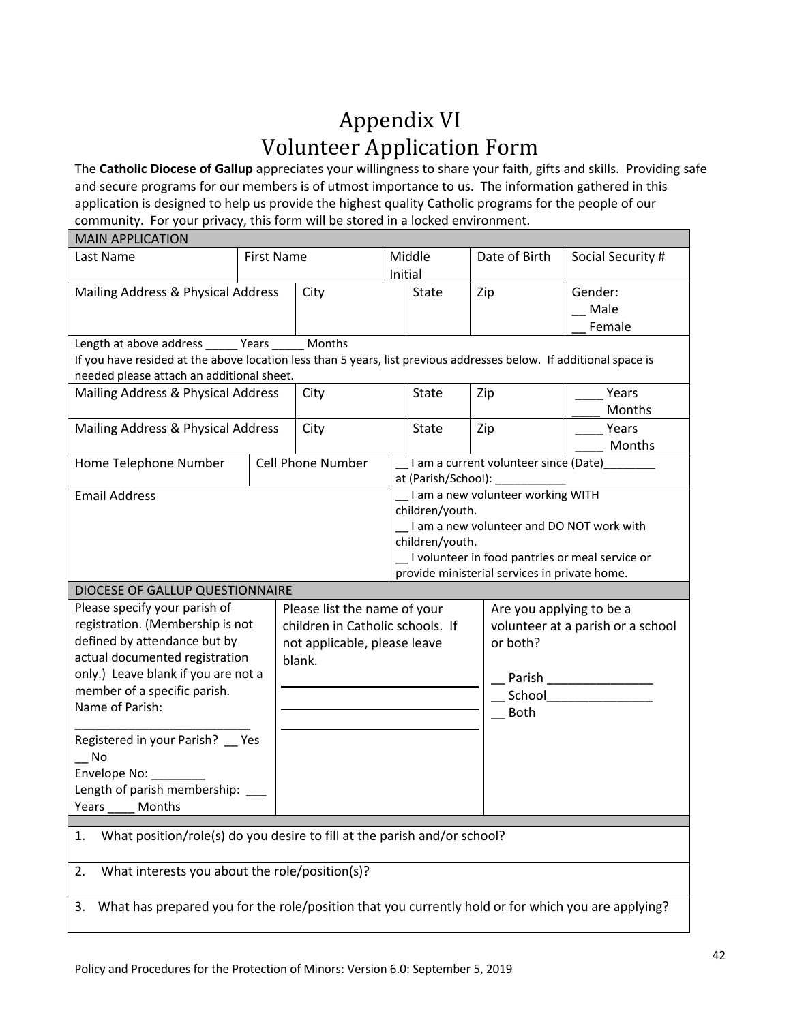## Appendix VI Volunteer Application Form

The **Catholic Diocese of Gallup** appreciates your willingness to share your faith, gifts and skills. Providing safe and secure programs for our members is of utmost importance to us. The information gathered in this application is designed to help us provide the highest quality Catholic programs for the people of our community. For your privacy, this form will be stored in a locked environment.

| <b>MAIN APPLICATION</b>                                                                                                                                         |                   |                                  |                                        |                     |                                                        |                                                  |  |  |
|-----------------------------------------------------------------------------------------------------------------------------------------------------------------|-------------------|----------------------------------|----------------------------------------|---------------------|--------------------------------------------------------|--------------------------------------------------|--|--|
| Last Name                                                                                                                                                       | <b>First Name</b> |                                  | Middle                                 |                     | Date of Birth                                          | Social Security #                                |  |  |
|                                                                                                                                                                 |                   |                                  | Initial                                |                     |                                                        |                                                  |  |  |
| Mailing Address & Physical Address                                                                                                                              |                   | City                             | State                                  |                     | Zip                                                    | Gender:                                          |  |  |
|                                                                                                                                                                 |                   |                                  |                                        |                     |                                                        | Male                                             |  |  |
|                                                                                                                                                                 |                   |                                  |                                        |                     |                                                        | Female                                           |  |  |
| Length at above address ______ Years ____                                                                                                                       |                   | Months                           |                                        |                     |                                                        |                                                  |  |  |
| If you have resided at the above location less than 5 years, list previous addresses below. If additional space is<br>needed please attach an additional sheet. |                   |                                  |                                        |                     |                                                        |                                                  |  |  |
| Mailing Address & Physical Address                                                                                                                              |                   | City                             | State                                  |                     | Zip                                                    | Years                                            |  |  |
|                                                                                                                                                                 |                   |                                  |                                        |                     |                                                        | Months                                           |  |  |
| Mailing Address & Physical Address                                                                                                                              |                   | City                             | State                                  |                     | Zip                                                    | Years                                            |  |  |
|                                                                                                                                                                 |                   |                                  |                                        |                     |                                                        | Months                                           |  |  |
| Home Telephone Number                                                                                                                                           |                   | <b>Cell Phone Number</b>         | I am a current volunteer since (Date)_ |                     |                                                        |                                                  |  |  |
|                                                                                                                                                                 |                   |                                  |                                        | at (Parish/School): |                                                        |                                                  |  |  |
| <b>Email Address</b>                                                                                                                                            |                   |                                  | I am a new volunteer working WITH      |                     |                                                        |                                                  |  |  |
|                                                                                                                                                                 |                   |                                  | children/youth.                        |                     |                                                        |                                                  |  |  |
|                                                                                                                                                                 |                   |                                  |                                        |                     | I am a new volunteer and DO NOT work with              |                                                  |  |  |
|                                                                                                                                                                 |                   |                                  | children/youth.                        |                     |                                                        |                                                  |  |  |
|                                                                                                                                                                 |                   |                                  |                                        |                     | provide ministerial services in private home.          | _I volunteer in food pantries or meal service or |  |  |
| DIOCESE OF GALLUP QUESTIONNAIRE                                                                                                                                 |                   |                                  |                                        |                     |                                                        |                                                  |  |  |
| Please specify your parish of                                                                                                                                   |                   | Please list the name of your     |                                        |                     | Are you applying to be a                               |                                                  |  |  |
| registration. (Membership is not                                                                                                                                |                   | children in Catholic schools. If |                                        |                     | volunteer at a parish or a school                      |                                                  |  |  |
| defined by attendance but by                                                                                                                                    |                   | not applicable, please leave     |                                        |                     | or both?                                               |                                                  |  |  |
| actual documented registration                                                                                                                                  |                   | blank.                           |                                        |                     |                                                        |                                                  |  |  |
| only.) Leave blank if you are not a                                                                                                                             |                   |                                  |                                        |                     | Parish<br><u> 1990 - Jan Barnett, fransk politiker</u> |                                                  |  |  |
| member of a specific parish.<br>Name of Parish:                                                                                                                 |                   |                                  |                                        | School              |                                                        |                                                  |  |  |
|                                                                                                                                                                 |                   |                                  |                                        |                     | <b>Both</b>                                            |                                                  |  |  |
|                                                                                                                                                                 |                   |                                  |                                        |                     |                                                        |                                                  |  |  |
| Registered in your Parish? __ Yes                                                                                                                               |                   |                                  |                                        |                     |                                                        |                                                  |  |  |
| $\overline{\phantom{0}}$ No                                                                                                                                     |                   |                                  |                                        |                     |                                                        |                                                  |  |  |
| Envelope No:                                                                                                                                                    |                   |                                  |                                        |                     |                                                        |                                                  |  |  |
| Length of parish membership:                                                                                                                                    |                   |                                  |                                        |                     |                                                        |                                                  |  |  |
| Years _____ Months                                                                                                                                              |                   |                                  |                                        |                     |                                                        |                                                  |  |  |
| 1.                                                                                                                                                              |                   |                                  |                                        |                     |                                                        |                                                  |  |  |
| What position/role(s) do you desire to fill at the parish and/or school?                                                                                        |                   |                                  |                                        |                     |                                                        |                                                  |  |  |
| What interests you about the role/position(s)?<br>2.                                                                                                            |                   |                                  |                                        |                     |                                                        |                                                  |  |  |
|                                                                                                                                                                 |                   |                                  |                                        |                     |                                                        |                                                  |  |  |
| What has prepared you for the role/position that you currently hold or for which you are applying?<br>3.                                                        |                   |                                  |                                        |                     |                                                        |                                                  |  |  |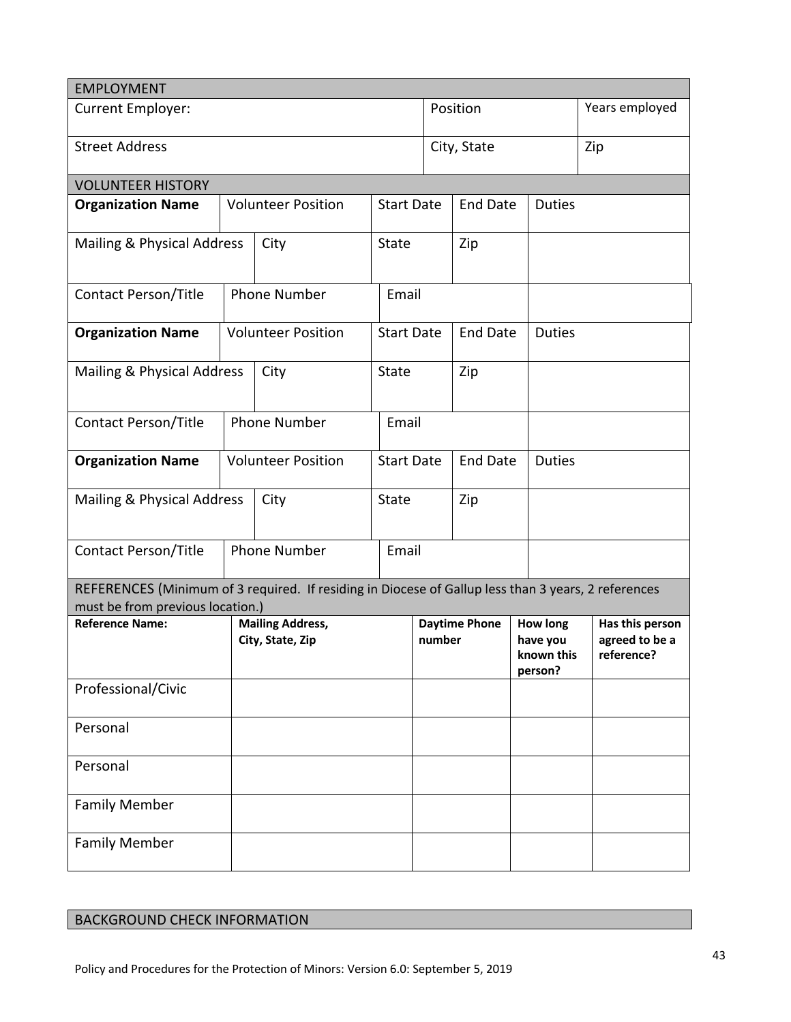| <b>EMPLOYMENT</b>                                                                                                                       |                           |                                             |                   |                                      |                                  |                                                      |                                                 |
|-----------------------------------------------------------------------------------------------------------------------------------------|---------------------------|---------------------------------------------|-------------------|--------------------------------------|----------------------------------|------------------------------------------------------|-------------------------------------------------|
| <b>Current Employer:</b>                                                                                                                |                           |                                             |                   |                                      | Position                         | Years employed                                       |                                                 |
| <b>Street Address</b>                                                                                                                   |                           |                                             |                   | City, State                          |                                  |                                                      | Zip                                             |
| <b>VOLUNTEER HISTORY</b>                                                                                                                |                           |                                             |                   |                                      |                                  |                                                      |                                                 |
| <b>Organization Name</b>                                                                                                                | <b>Volunteer Position</b> |                                             | <b>Start Date</b> |                                      | <b>End Date</b>                  | <b>Duties</b>                                        |                                                 |
| Mailing & Physical Address<br>City                                                                                                      |                           | State                                       |                   | Zip                                  |                                  |                                                      |                                                 |
| Contact Person/Title                                                                                                                    |                           | <b>Phone Number</b>                         |                   | Email                                |                                  |                                                      |                                                 |
| <b>Organization Name</b>                                                                                                                | <b>Volunteer Position</b> |                                             | <b>Start Date</b> |                                      | <b>End Date</b><br><b>Duties</b> |                                                      |                                                 |
| Mailing & Physical Address<br>City                                                                                                      |                           | State<br>Zip                                |                   |                                      |                                  |                                                      |                                                 |
| <b>Contact Person/Title</b>                                                                                                             |                           | <b>Phone Number</b>                         |                   | Email                                |                                  |                                                      |                                                 |
| <b>Organization Name</b>                                                                                                                |                           | <b>Volunteer Position</b>                   |                   | <b>Start Date</b><br><b>End Date</b> |                                  | <b>Duties</b>                                        |                                                 |
| Mailing & Physical Address<br>City                                                                                                      |                           | State                                       |                   | Zip                                  |                                  |                                                      |                                                 |
| Contact Person/Title                                                                                                                    |                           | <b>Phone Number</b>                         |                   | Email                                |                                  |                                                      |                                                 |
| REFERENCES (Minimum of 3 required. If residing in Diocese of Gallup less than 3 years, 2 references<br>must be from previous location.) |                           |                                             |                   |                                      |                                  |                                                      |                                                 |
| <b>Reference Name:</b>                                                                                                                  |                           | <b>Mailing Address,</b><br>City, State, Zip |                   | <b>Daytime Phone</b><br>number       |                                  | <b>How long</b><br>have you<br>known this<br>person? | Has this person<br>agreed to be a<br>reference? |
| Professional/Civic                                                                                                                      |                           |                                             |                   |                                      |                                  |                                                      |                                                 |
| Personal                                                                                                                                |                           |                                             |                   |                                      |                                  |                                                      |                                                 |
| Personal                                                                                                                                |                           |                                             |                   |                                      |                                  |                                                      |                                                 |
| <b>Family Member</b>                                                                                                                    |                           |                                             |                   |                                      |                                  |                                                      |                                                 |
| <b>Family Member</b>                                                                                                                    |                           |                                             |                   |                                      |                                  |                                                      |                                                 |

| <b>BACKGROUND CHECK INFORMATION</b> |  |  |  |
|-------------------------------------|--|--|--|
|-------------------------------------|--|--|--|